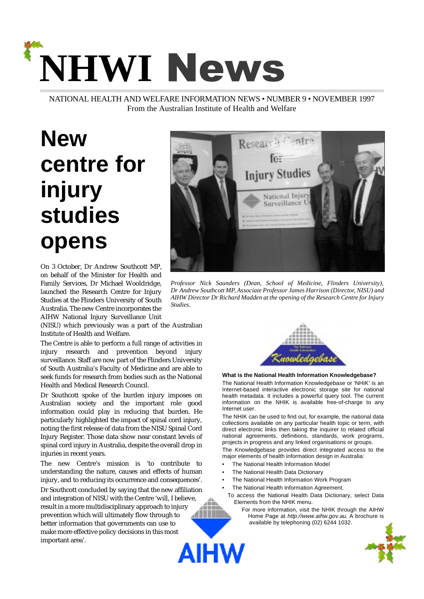# **NHWI News**

NATIONAL HEALTH AND WELFARE INFORMATION NEWS • NUMBER 9 • NOVEMBER 1997 From the Australian Institute of Health and Welfare

## <span id="page-0-0"></span>**New centre for injury studies opens**

On 3 October, Dr Andrew Southcott MP, on behalf of the Minister for Health and Family Services, Dr Michael Wooldridge, launched the Research Centre for Injury Studies at the Flinders University of South Australia. The new Centre incorporates the AIHW National Injury Surveillance Unit

(NISU) which previously was a part of the Australian Institute of Health and Welfare.

The Centre is able to perform a full range of activities in injury research and prevention beyond injury surveillance. Staff are now part of the Flinders University of South Australia's Faculty of Medicine and are able to seek funds for research from bodies such as the National Health and Medical Research Council.

Dr Southcott spoke of the burden injury imposes on Australian society and the important role good information could play in reducing that burden. He particularly highlighted the impact of spinal cord injury, noting the first release of data from the NISU Spinal Cord Injury Register. Those data show near constant levels of spinal cord injury in Australia, despite the overall drop in injuries in recent years.

The new Centre's mission is 'to contribute to understanding the nature, causes and effects of human injury, and to reducing its occurrence and consequences'.

Dr Southcott concluded by saying that the new affiliation and integration of NISU with the Centre 'will, I believe, result in a more multidisciplinary approach to injury prevention which will ultimately flow through to better information that governments can use to make more effective policy decisions in this most important area'.AIHW



*Professor Nick Saunders (Dean, School of Medicine, Flinders University), Dr Andrew Southcott MP, Associate Professor James Harrison (Director, NISU) and AIHW Director Dr Richard Madden at the opening of the Research Centre for Injury Studies.*



#### **What is the National Health Information Knowledgebase?**

The National Health Information Knowledgebase or 'NHIK' is an Internet-based interactive electronic storage site for national health metadata. It includes a powerful query tool. The current information on the NHIK is available free-of-charge to any Internet user.

The NHIK can be used to find out, for example, the national data collections available on any particular health topic or term, with direct electronic links then taking the inquirer to related official national agreements, definitions, standards, work programs, projects in progress and any linked organisations or groups.

The Knowledgebase provides direct integrated access to the major elements of health information design in Australia:

- The National Health Information Model
- The National Health Data Dictionary
- The National Health Information Work Program
- The National Health Information Agreement.
- To access the National Health Data Dictionary, select Data Elements from the NHIK menu.
	- For more information, visit the NHIK through the AIHW Home Page at http://www.aihw.gov.au. A brochure is available by telephoning (02) 6244 1032.

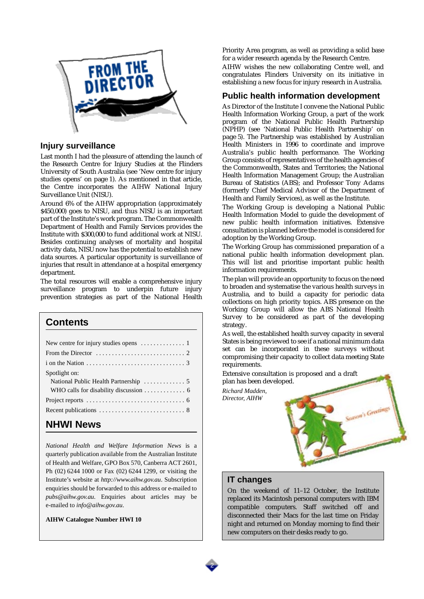<span id="page-1-0"></span>

#### **Injury surveillance**

Last month I had the pleasure of attending the launch of the Research Centre for Injury Studies at the Flinders University of South Australia ([see 'New centre for injury](#page-0-0) [studies opens' on page 1\)](#page-0-0). As mentioned in that article, the Centre incorporates the AIHW National Injury Surveillance Unit (NISU).

Around 6% of the AIHW appropriation (approximately \$450,000) goes to NISU, and thus NISU is an important part of the Institute's work program. The Commonwealth Department of Health and Family Services provides the Institute with \$300,000 to fund additional work at NISU. Besides continuing analyses of mortality and hospital activity data, NISU now has the potential to establish new data sources. A particular opportunity is surveillance of injuries that result in attendance at a hospital emergency department.

The total resources will enable a comprehensive injury surveillance program to underpin future injury prevention strategies as part of the National Health

#### **Contents**

| New centre for injury studies opens $\dots \dots \dots \dots$                 |
|-------------------------------------------------------------------------------|
| From the Director $\ldots \ldots \ldots \ldots \ldots \ldots \ldots \ldots$   |
| i on the Nation $\dots \dots \dots \dots \dots \dots \dots \dots \dots \dots$ |
| Spotlight on:                                                                 |
| National Public Health Partnership  5                                         |
|                                                                               |
|                                                                               |
| Recent publications $\dots \dots \dots \dots \dots \dots \dots \dots \dots$   |
| .   . <i>.</i> .                                                              |

#### **NHWI News**

*National Health and Welfare Information News* is a quarterly publication available from the Australian Institute of Health and Welfare, GPO Box 570, Canberra ACT 2601, Ph (02) 6244 1000 or Fax (02) 6244 1299, or visiting the Institute's website at *http://www.aihw.gov.au*. Subscription enquiries should be forwarded to this address or e-mailed to *pubs@aihw.gov.au.* Enquiries about articles may be e-mailed to *info@aihw.gov.au*.

**AIHW Catalogue Number HWI 10**

Priority Area program, as well as providing a solid base for a wider research agenda by the Research Centre.

AIHW wishes the new collaborating Centre well, and congratulates Flinders University on its initiative in establishing a new focus for injury research in Australia.

#### <span id="page-1-1"></span>**Public health information development**

As Director of the Institute I convene the National Public Health Information Working Group, a part of the work program of the National Public Health Partnership (NPHP) ([see 'National Public Health Partnership' on](#page-4-0) [page 5\)](#page-4-0). The Partnership was established by Australian Health Ministers in 1996 to coordinate and improve Australia's public health performance. The Working Group consists of representatives of the health agencies of the Commonwealth, States and Territories; the National Health Information Management Group; the Australian Bureau of Statistics (ABS); and Professor Tony Adams (formerly Chief Medical Advisor of the Department of Health and Family Services), as well as the Institute.

The Working Group is developing a National Public Health Information Model to guide the development of new public health information initiatives. Extensive consultation is planned before the model is considered for adoption by the Working Group.

The Working Group has commissioned preparation of a national public health information development plan. This will list and prioritise important public health information requirements.

The plan will provide an opportunity to focus on the need to broaden and systematise the various health surveys in Australia, and to build a capacity for periodic data collections on high priority topics. ABS presence on the Working Group will allow the ABS National Health Survey to be considered as part of the developing strategy.

As well, the established health survey capacity in several States is being reviewed to see if a national minimum data set can be incorporated in these surveys without compromising their capacity to collect data meeting State requirements.

Extensive consultation is proposed and a draft plan has been developed.

*Richard Madden, Director, AIHW*



#### **IT changes**

On the weekend of 11–12 October, the Institute replaced its Macintosh personal computers with IBM compatible computers. Staff switched off and disconnected their Macs for the last time on Friday night and returned on Monday morning to find their new computers on their desks ready to go.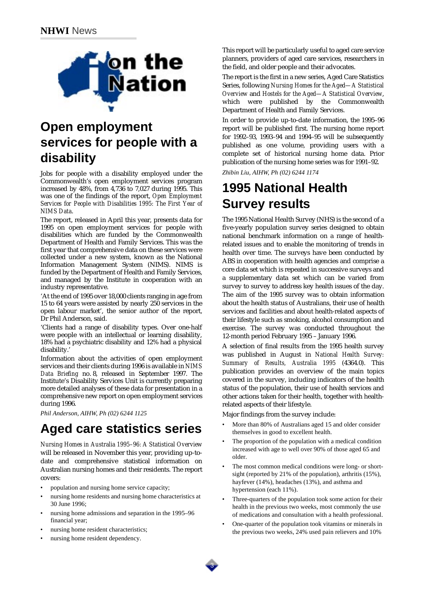<span id="page-2-0"></span>

## **Open employment services for people with a disability**

Jobs for people with a disability employed under the Commonwealth's open employment services program increased by 48%, from 4,736 to 7,027 during 1995. This was one of the findings of the report, *Open Employment Services for People with Disabilities 1995: The First Year of NIMS Data*.

The report, released in April this year, presents data for 1995 on open employment services for people with disabilities which are funded by the Commonwealth Department of Health and Family Services. This was the first year that comprehensive data on these services were collected under a new system, known as the National Information Management System (NIMS). NIMS is funded by the Department of Health and Family Services, and managed by the Institute in cooperation with an industry representative.

'At the end of 1995 over 18,000 clients ranging in age from 15 to 64 years were assisted by nearly 250 services in the open labour market', the senior author of the report, Dr Phil Anderson, said.

'Clients had a range of disability types. Over one-half were people with an intellectual or learning disability, 18% had a psychiatric disability and 12% had a physical disability.'

Information about the activities of open employment services and their clients during 1996 is available in *NIMS Data Briefing* no. 8, released in September 1997. The Institute's Disability Services Unit is currently preparing more detailed analyses of these data for presentation in a comprehensive new report on open employment services during 1996.

*Phil Anderson, AIHW, Ph (02) 6244 1125*

## **Aged care statistics series**

*Nursing Homes in Australia 1995–96: A Statistical Overview* will be released in November this year, providing up-todate and comprehensive statistical information on Australian nursing homes and their residents. The report covers:

- population and nursing home service capacity;
- nursing home residents and nursing home characteristics at 30 June 1996;
- nursing home admissions and separation in the 1995–96 financial year;
- nursing home resident characteristics;
- nursing home resident dependency.

This report will be particularly useful to aged care service planners, providers of aged care services, researchers in the field, and older people and their advocates.

The report is the first in a new series, Aged Care Statistics Series, following *Nursing Homes for the Aged—A Statistical Overview* and *Hostels for the Aged—A Statistical Overview*, which were published by the Commonwealth Department of Health and Family Services.

In order to provide up-to-date information, the 1995–96 report will be published first. The nursing home report for 1992–93, 1993–94 and 1994–95 will be subsequently published as one volume, providing users with a complete set of historical nursing home data. Prior publication of the nursing home series was for 1991–92.

*Zhibin Liu, AIHW, Ph (02) 6244 1174*

#### **1995 National Health Survey results**

The 1995 National Health Survey (NHS) is the second of a five-yearly population survey series designed to obtain national benchmark information on a range of healthrelated issues and to enable the monitoring of trends in health over time. The surveys have been conducted by ABS in cooperation with health agencies and comprise a core data set which is repeated in successive surveys and a supplementary data set which can be varied from survey to survey to address key health issues of the day. The aim of the 1995 survey was to obtain information about the health status of Australians, their use of health services and facilities and about health-related aspects of their lifestyle such as smoking, alcohol consumption and exercise. The survey was conducted throughout the 12-month period February 1995 – January 1996.

A selection of final results from the 1995 health survey was published in August in *National Health Survey: Summary of Results, Australia 1995* (4364.0). This publication provides an overview of the main topics covered in the survey, including indicators of the health status of the population, their use of health services and other actions taken for their health, together with healthrelated aspects of their lifestyle.

Major findings from the survey include:

3

- More than 80% of Australians aged 15 and older consider themselves in good to excellent health.
- The proportion of the population with a medical condition increased with age to well over 90% of those aged 65 and older.
- The most common medical conditions were long- or shortsight (reported by 21% of the population), arthritis (15%), hayfever (14%), headaches (13%), and asthma and hypertension (each 11%).
- Three-quarters of the population took some action for their health in the previous two weeks, most commonly the use of medications and consultation with a health professional.
- One-quarter of the population took vitamins or minerals in the previous two weeks, 24% used pain relievers and 10%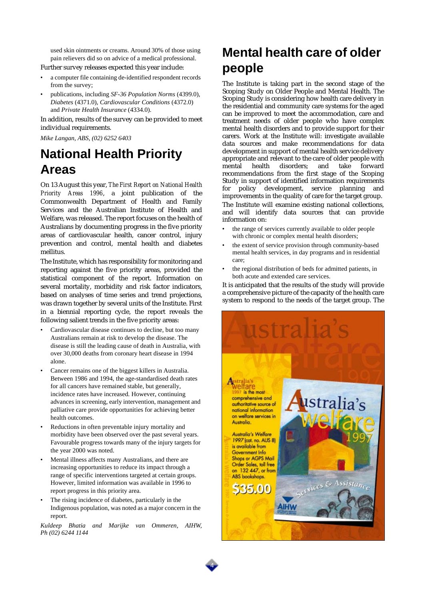used skin ointments or creams. Around 30% of those using pain relievers did so on advice of a medical professional.

Further survey releases expected this year include:

- a computer file containing de-identified respondent records from the survey;
- publications, including *SF-36 Population Norms* (4399.0), *Diabetes* (4371.0), *Cardiovascular Conditions* (4372.0) and *Private Health Insurance* (4334.0).

In addition, results of the survey can be provided to meet individual requirements.

*Mike Langan, ABS, (02) 6252 6403*

#### **National Health Priority Areas**

On 13 August this year, *The First Report on National Health Priority Areas 1996*, a joint publication of the Commonwealth Department of Health and Family Services and the Australian Institute of Health and Welfare, was released. The report focuses on the health of Australians by documenting progress in the five priority areas of cardiovascular health, cancer control, injury prevention and control, mental health and diabetes mellitus.

The Institute, which has responsibility for monitoring and reporting against the five priority areas, provided the statistical component of the report. Information on several mortality, morbidity and risk factor indicators, based on analyses of time series and trend projections, was drawn together by several units of the Institute. First in a biennial reporting cycle, the report reveals the following salient trends in the five priority areas:

- Cardiovascular disease continues to decline, but too many Australians remain at risk to develop the disease. The disease is still the leading cause of death in Australia, with over 30,000 deaths from coronary heart disease in 1994 alone.
- Cancer remains one of the biggest killers in Australia. Between 1986 and 1994, the age-standardised death rates for all cancers have remained stable, but generally, incidence rates have increased. However, continuing advances in screening, early intervention, management and palliative care provide opportunities for achieving better health outcomes.
- Reductions in often preventable injury mortality and morbidity have been observed over the past several years. Favourable progress towards many of the injury targets for the year 2000 was noted.
- Mental illness affects many Australians, and there are increasing opportunities to reduce its impact through a range of specific interventions targeted at certain groups. However, limited information was available in 1996 to report progress in this priority area.
- The rising incidence of diabetes, particularly in the Indigenous population, was noted as a major concern in the report.

*Kuldeep Bhatia and Marijke van Ommeren, AIHW, Ph (02) 6244 1144*

## **Mental health care of older people**

The Institute is taking part in the second stage of the Scoping Study on Older People and Mental Health. The Scoping Study is considering how health care delivery in the residential and community care systems for the aged can be improved to meet the accommodation, care and treatment needs of older people who have complex mental health disorders and to provide support for their carers. Work at the Institute will: investigate available data sources and make recommendations for data development in support of mental health service delivery appropriate and relevant to the care of older people with<br>mental health disorders: and take forward mental health disorders; recommendations from the first stage of the Scoping Study in support of identified information requirements<br>for policy development service planning and policy development, service planning and improvements in the quality of care for the target group. The Institute will examine existing national collections, and will identify data sources that can provide information on:

- the range of services currently available to older people with chronic or complex mental health disorders;
- the extent of service provision through community-based mental health services, in day programs and in residential care;
- the regional distribution of beds for admitted patients, in both acute and extended care services.

It is anticipated that the results of the study will provide a comprehensive picture of the capacity of the health care system to respond to the needs of the target group. The



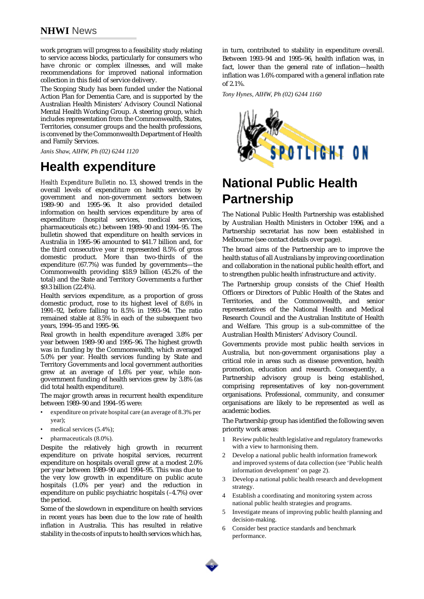#### **NHWI** News

work program will progress to a feasibility study relating to service access blocks, particularly for consumers who have chronic or complex illnesses, and will make recommendations for improved national information collection in this field of service delivery.

The Scoping Study has been funded under the National Action Plan for Dementia Care, and is supported by the Australian Health Ministers' Advisory Council National Mental Health Working Group. A steering group, which includes representation from the Commonwealth, States, Territories, consumer groups and the health professions, is convened by the Commonwealth Department of Health and Family Services.

*Janis Shaw, AIHW, Ph (02) 6244 1120*

#### **Health expenditure**

*Health Expenditure Bulletin* no. 13, showed trends in the overall levels of expenditure on health services by government and non-government sectors between 1989–90 and 1995–96. It also provided detailed information on health services expenditure by area of expenditure (hospital services, medical services, pharmaceuticals etc.) between 1989–90 and 1994–95. The bulletin showed that expenditure on health services in Australia in 1995–96 amounted to \$41.7 billion and, for the third consecutive year it represented 8.5% of gross domestic product. More than two-thirds of the expenditure (67.7%) was funded by governments—the Commonwealth providing \$18.9 billion (45.2% of the total) and the State and Territory Governments a further \$9.3 billion (22.4%).

Health services expenditure, as a proportion of gross domestic product, rose to its highest level of 8.6% in 1991–92, before falling to 8.5% in 1993–94. The ratio remained stable at 8.5% in each of the subsequent two years, 1994–95 and 1995–96.

Real growth in health expenditure averaged 3.8% per year between 1989–90 and 1995–96. The highest growth was in funding by the Commonwealth, which averaged 5.0% per year. Health services funding by State and Territory Governments and local government authorities grew at an average of 1.6% per year, while nongovernment funding of health services grew by 3.8% (as did total health expenditure).

The major growth areas in recurrent health expenditure between 1989–90 and 1994–95 were:

- expenditure on private hospital care (an average of 8.3% per year);
- medical services (5.4%);
- pharmaceuticals (8.0%).

Despite the relatively high growth in recurrent expenditure on private hospital services, recurrent expenditure on hospitals overall grew at a modest 2.0% per year between 1989–90 and 1994–95. This was due to the very low growth in expenditure on public acute hospitals (1.0% per year) and the reduction in expenditure on public psychiatric hospitals (–4.7%) over the period.

Some of the slowdown in expenditure on health services in recent years has been due to the low rate of health inflation in Australia. This has resulted in relative stability in the costs of inputs to health services which has,

in turn, contributed to stability in expenditure overall. Between 1993–94 and 1995–96, health inflation was, in fact, lower than the general rate of inflation—health inflation was 1.6% compared with a general inflation rate of 2.1%.

*Tony Hynes, AIHW, Ph (02) 6244 1160*



## <span id="page-4-0"></span>**National Public Health Partnership**

The National Public Health Partnership was established by Australian Health Ministers in October 1996, and a Partnership secretariat has now been established in Melbourne (see contact details over page).

The broad aims of the Partnership are to improve the health status of all Australians by improving coordination and collaboration in the national public health effort, and to strengthen public health infrastructure and activity.

The Partnership group consists of the Chief Health Officers or Directors of Public Health of the States and Territories, and the Commonwealth, and senior representatives of the National Health and Medical Research Council and the Australian Institute of Health and Welfare. This group is a sub-committee of the Australian Health Ministers' Advisory Council.

Governments provide most public health services in Australia, but non-government organisations play a critical role in areas such as disease prevention, health promotion, education and research. Consequently, a Partnership advisory group is being established, comprising representatives of key non-government organisations. Professional, community, and consumer organisations are likely to be represented as well as academic bodies.

The Partnership group has identified the following seven priority work areas:

- 1 Review public health legislative and regulatory frameworks with a view to harmonising them.
- 2 Develop a national public health information framework and improved systems of data collection ([see 'Public health](#page-1-1)  [information development' on page 2](#page-1-1)).
- 3 Develop a national public health research and development strategy.
- 4 Establish a coordinating and monitoring system across national public health strategies and programs.
- 5 Investigate means of improving public health planning and decision-making.
- 6 Consider best practice standards and benchmark performance.

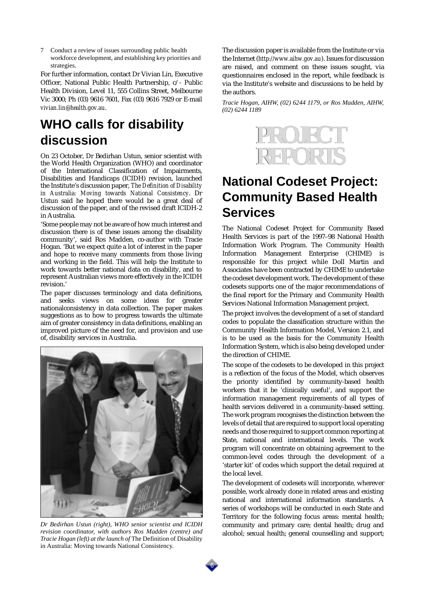7 Conduct a review of issues surrounding public health workforce development, and establishing key priorities and strategies.

For further information, contact Dr Vivian Lin, Executive Officer, National Public Health Partnership, c/- Public Health Division, Level 11, 555 Collins Street, Melbourne Vic 3000; Ph (03) 9616 7601, Fax (03) 9616 7929 or E-mail *vivian.lin@health.gov.au*.

## <span id="page-5-1"></span>**WHO calls for disability discussion**

On 23 October, Dr Bedirhan Ustun, senior scientist with the World Health Organization (WHO) and coordinator of the International Classification of Impairments, Disabilities and Handicaps (ICIDH) revision, launched the Institute's discussion paper, *The Definition of Disability in Australia: Moving towards National Consistency*. Dr Ustun said he hoped there would be a great deal of discussion of the paper, and of the revised draft ICIDH-2 in Australia.

'Some people may not be aware of how much interest and discussion there is of these issues among the disability community', said Ros Madden, co-author with Tracie Hogan. 'But we expect quite a lot of interest in the paper and hope to receive many comments from those living and working in the field. This will help the Institute to work towards better national data on disability, and to represent Australian views more effectively in the ICIDH revision.'

The paper discusses terminology and data definitions, and seeks views on some ideas for greater nationalconsistency in data collection. The paper makes suggestions as to how to progress towards the ultimate aim of greater consistency in data definitions, enabling an improved picture of the need for, and provision and use of, disability services in Australia.



*Dr Bedirhan Ustun (right), WHO senior scientist and ICIDH revision coordinator, with authors Ros Madden (centre) and Tracie Hogan (left) at the launch of* The Definition of Disability in Australia: Moving towards National Consistency.

The discussion paper is available from the Institute or via the Internet (*http://www.aihw.gov.au*). Issues for discussion are raised, and comment on these issues sought, via questionnaires enclosed in the report, while feedback is via the Institute's website and discussions to be held by the authors.

<span id="page-5-0"></span>*Tracie Hogan, AIHW, (02) 6244 1179, or Ros Madden, AIHW, (02) 6244 1189*



## **National Codeset Project: Community Based Health Services**

The National Codeset Project for Community Based Health Services is part of the 1997–98 National Health Information Work Program. The Community Health Information Management Enterprise (CHIME) is responsible for this project while Doll Martin and Associates have been contracted by CHIME to undertake the codeset development work. The development of these codesets supports one of the major recommendations of the final report for the Primary and Community Health Services National Information Management project.

The project involves the development of a set of standard codes to populate the classification structure within the Community Health Information Model, Version 2.1, and is to be used as the basis for the Community Health Information System, which is also being developed under the direction of CHIME.

The scope of the codesets to be developed in this project is a reflection of the focus of the Model, which observes the priority identified by community-based health workers that it be 'clinically useful', and support the information management requirements of all types of health services delivered in a community-based setting. The work program recognises the distinction between the levels of detail that are required to support local operating needs and those required to support common reporting at State, national and international levels. The work program will concentrate on obtaining agreement to the common-level codes through the development of a 'starter kit' of codes which support the detail required at the local level.

The development of codesets will incorporate, wherever possible, work already done in related areas and existing national and international information standards. A series of workshops will be conducted in each State and Territory for the following focus areas: mental health; community and primary care; dental health; drug and alcohol; sexual health; general counselling and support;

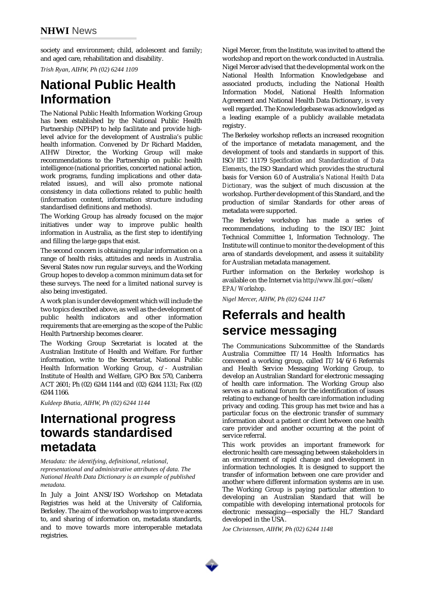society and environment; child, adolescent and family; and aged care, rehabilitation and disability.

*Trish Ryan, AIHW, Ph (02) 6244 1109*

## **National Public Health Information**

The National Public Health Information Working Group has been established by the National Public Health Partnership (NPHP) to help facilitate and provide highlevel advice for the development of Australia's public health information. Convened by Dr Richard Madden, AIHW Director, the Working Group will make recommendations to the Partnership on public health intelligence (national priorities, concerted national action, work programs, funding implications and other datarelated issues), and will also promote national consistency in data collections related to public health (information content, information structure including standardised definitions and methods).

The Working Group has already focused on the major initiatives under way to improve public health information in Australia, as the first step to identifying and filling the large gaps that exist.

The second concern is obtaining regular information on a range of health risks, attitudes and needs in Australia. Several States now run regular surveys, and the Working Group hopes to develop a common minimum data set for these surveys. The need for a limited national survey is also being investigated.

A work plan is under development which will include the two topics described above, as well as the development of public health indicators and other information requirements that are emerging as the scope of the Public Health Partnership becomes clearer.

The Working Group Secretariat is located at the Australian Institute of Health and Welfare. For further information, write to the Secretariat, National Public Health Information Working Group, c/- Australian Institute of Health and Welfare, GPO Box 570, Canberra ACT 2601; Ph (02) 6244 1144 and (02) 6244 1131; Fax (02) 6244 1166.

*Kuldeep Bhatia, AIHW, Ph (02) 6244 1144*

#### **International progress towards standardised metadata**

*Metadata: the identifying, definitional, relational, representational and administrative attributes of data. The National Health Data Dictionary is an example of published metadata.*

In July a Joint ANSI/ISO Workshop on Metadata Registries was held at the University of California, Berkeley. The aim of the workshop was to improve access to, and sharing of information on, metadata standards, and to move towards more interoperable metadata registries.

Nigel Mercer, from the Institute, was invited to attend the workshop and report on the work conducted in Australia. Nigel Mercer advised that the developmental work on the National Health Information Knowledgebase and associated products, including the National Health Information Model, National Health Information Agreement and National Health Data Dictionary, is very well regarded. The Knowledgebase was acknowledged as a leading example of a publicly available metadata registry.

The Berkeley workshop reflects an increased recognition of the importance of metadata management, and the development of tools and standards in support of this. ISO/IEC 11179 *Specification and Standardization of Data Elements*, the ISO Standard which provides the structural basis for Version 6.0 of Australia's *National Health Data Dictionary,* was the subject of much discussion at the workshop. Further development of this Standard, and the production of similar Standards for other areas of metadata were supported.

The Berkeley workshop has made a series of recommendations, including to the ISO/IEC Joint Technical Committee 1, Information Technology. The Institute will continue to monitor the development of this area of standards development, and assess it suitability for Australian metadata management.

Further information on the Berkeley workshop is available on the Internet via *http://www.lbl.gov/~olken/ EPA/ Workshop*.

*Nigel Mercer, AIHW, Ph (02) 6244 1147*

## **Referrals and health service messaging**

The Communications Subcommittee of the Standards Australia Committee IT/14 Health Informatics has convened a working group, called IT/14/6/6 Referrals and Health Service Messaging Working Group, to develop an Australian Standard for electronic messaging of health care information. The Working Group also serves as a national forum for the identification of issues relating to exchange of health care information including privacy and coding. This group has met twice and has a particular focus on the electronic transfer of summary information about a patient or client between one health care provider and another occurring at the point of service referral.

This work provides an important framework for electronic health care messaging between stakeholders in an environment of rapid change and development in information technologies. It is designed to support the transfer of information between one care provider and another where different information systems are in use. The Working Group is paying particular attention to developing an Australian Standard that will be compatible with developing international protocols for electronic messaging—especially the HL7 Standard developed in the USA.

*Joe Christensen, AIHW, Ph (02) 6244 1148*